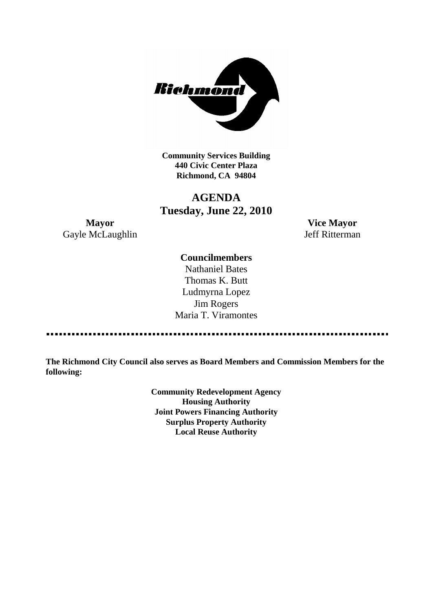

**Community Services Building 440 Civic Center Plaza Richmond, CA 94804**

# **AGENDA Tuesday, June 22, 2010**

Gayle McLaughlin Jeff Ritterman

**Mayor Vice Mayor**

# **Councilmembers**

Nathaniel Bates Thomas K. Butt Ludmyrna Lopez Jim Rogers Maria T. Viramontes

------------------------------------

**The Richmond City Council also serves as Board Members and Commission Members for the following:**

> **Community Redevelopment Agency Housing Authority Joint Powers Financing Authority Surplus Property Authority Local Reuse Authority**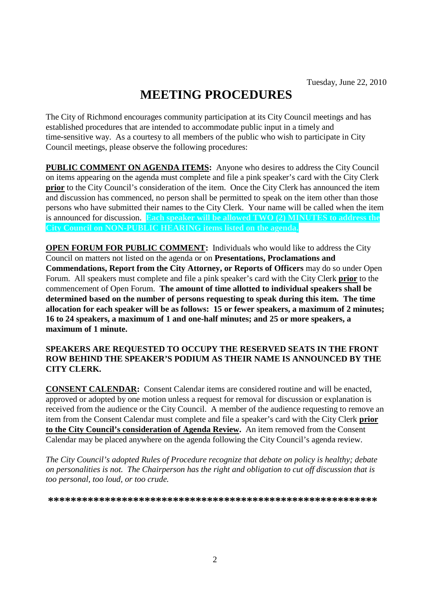# **MEETING PROCEDURES**

The City of Richmond encourages community participation at its City Council meetings and has established procedures that are intended to accommodate public input in a timely and time-sensitive way. As a courtesy to all members of the public who wish to participate in City Council meetings, please observe the following procedures:

**PUBLIC COMMENT ON AGENDA ITEMS:** Anyone who desires to address the City Council on items appearing on the agenda must complete and file a pink speaker's card with the City Clerk **prior** to the City Council's consideration of the item. Once the City Clerk has announced the item and discussion has commenced, no person shall be permitted to speak on the item other than those persons who have submitted their names to the City Clerk. Your name will be called when the item is announced for discussion. **Each speaker will be allowed TWO (2) MINUTES to address the City Council on NON-PUBLIC HEARING items listed on the agenda.**

**OPEN FORUM FOR PUBLIC COMMENT:** Individuals who would like to address the City Council on matters not listed on the agenda or on **Presentations, Proclamations and Commendations, Report from the City Attorney, or Reports of Officers** may do so under Open Forum. All speakers must complete and file a pink speaker's card with the City Clerk **prior** to the commencement of Open Forum. **The amount of time allotted to individual speakers shall be determined based on the number of persons requesting to speak during this item. The time allocation for each speaker will be as follows: 15 or fewer speakers, a maximum of 2 minutes; 16 to 24 speakers, a maximum of 1 and one-half minutes; and 25 or more speakers, a maximum of 1 minute.**

### **SPEAKERS ARE REQUESTED TO OCCUPY THE RESERVED SEATS IN THE FRONT ROW BEHIND THE SPEAKER'S PODIUM AS THEIR NAME IS ANNOUNCED BY THE CITY CLERK.**

**CONSENT CALENDAR:** Consent Calendar items are considered routine and will be enacted, approved or adopted by one motion unless a request for removal for discussion or explanation is received from the audience or the City Council. A member of the audience requesting to remove an item from the Consent Calendar must complete and file a speaker's card with the City Clerk **prior to the City Council's consideration of Agenda Review.** An item removed from the Consent Calendar may be placed anywhere on the agenda following the City Council's agenda review.

*The City Council's adopted Rules of Procedure recognize that debate on policy is healthy; debate on personalities is not. The Chairperson has the right and obligation to cut off discussion that is too personal, too loud, or too crude.*

**\*\*\*\*\*\*\*\*\*\*\*\*\*\*\*\*\*\*\*\*\*\*\*\*\*\*\*\*\*\*\*\*\*\*\*\*\*\*\*\*\*\*\*\*\*\*\*\*\*\*\*\*\*\*\*\*\*\***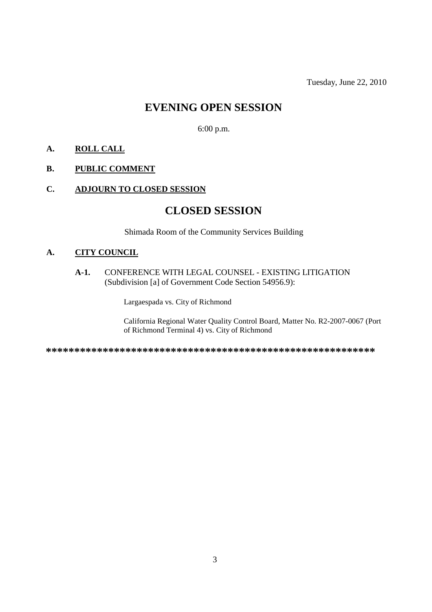Tuesday, June 22, 2010

# **EVENING OPEN SESSION**

6:00 p.m.

# **A. ROLL CALL**

# **B. PUBLIC COMMENT**

# **C. ADJOURN TO CLOSED SESSION**

# **CLOSED SESSION**

Shimada Room of the Community Services Building

# **A. CITY COUNCIL**

#### **A-1.** CONFERENCE WITH LEGAL COUNSEL - EXISTING LITIGATION (Subdivision [a] of Government Code Section 54956.9):

Largaespada vs. City of Richmond

California Regional Water Quality Control Board, Matter No. R2-2007-0067 (Port of Richmond Terminal 4) vs. City of Richmond

**\*\*\*\*\*\*\*\*\*\*\*\*\*\*\*\*\*\*\*\*\*\*\*\*\*\*\*\*\*\*\*\*\*\*\*\*\*\*\*\*\*\*\*\*\*\*\*\*\*\*\*\*\*\*\*\*\*\***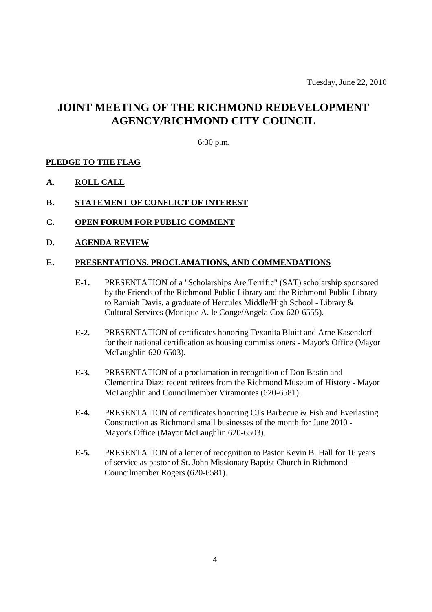# **JOINT MEETING OF THE RICHMOND REDEVELOPMENT AGENCY/RICHMOND CITY COUNCIL**

#### 6:30 p.m.

#### **PLEDGE TO THE FLAG**

- **A. ROLL CALL**
- **B. STATEMENT OF CONFLICT OF INTEREST**
- **C. OPEN FORUM FOR PUBLIC COMMENT**
- **D. AGENDA REVIEW**

#### **E. PRESENTATIONS, PROCLAMATIONS, AND COMMENDATIONS**

- **E-1.** PRESENTATION of a "Scholarships Are Terrific" (SAT) scholarship sponsored by the Friends of the Richmond Public Library and the Richmond Public Library to Ramiah Davis, a graduate of Hercules Middle/High School - Library & Cultural Services (Monique A. le Conge/Angela Cox 620-6555).
- **E-2.** PRESENTATION of certificates honoring Texanita Bluitt and Arne Kasendorf for their national certification as housing commissioners - Mayor's Office (Mayor McLaughlin 620-6503).
- **E-3.** PRESENTATION of a proclamation in recognition of Don Bastin and Clementina Diaz; recent retirees from the Richmond Museum of History - Mayor McLaughlin and Councilmember Viramontes (620-6581).
- **E-4.** PRESENTATION of certificates honoring CJ's Barbecue & Fish and Everlasting Construction as Richmond small businesses of the month for June 2010 - Mayor's Office (Mayor McLaughlin 620-6503).
- **E-5.** PRESENTATION of a letter of recognition to Pastor Kevin B. Hall for 16 years of service as pastor of St. John Missionary Baptist Church in Richmond - Councilmember Rogers (620-6581).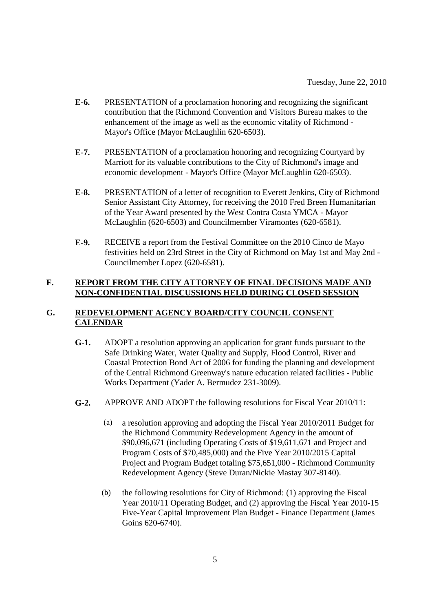- **E-6.** PRESENTATION of a proclamation honoring and recognizing the significant contribution that the Richmond Convention and Visitors Bureau makes to the enhancement of the image as well as the economic vitality of Richmond - Mayor's Office (Mayor McLaughlin 620-6503).
- **E-7.** PRESENTATION of a proclamation honoring and recognizing Courtyard by Marriott for its valuable contributions to the City of Richmond's image and economic development - Mayor's Office (Mayor McLaughlin 620-6503).
- **E-8.** PRESENTATION of a letter of recognition to Everett Jenkins, City of Richmond Senior Assistant City Attorney, for receiving the 2010 Fred Breen Humanitarian of the Year Award presented by the West Contra Costa YMCA - Mayor McLaughlin (620-6503) and Councilmember Viramontes (620-6581).
- **E-9.** RECEIVE a report from the Festival Committee on the 2010 Cinco de Mayo festivities held on 23rd Street in the City of Richmond on May 1st and May 2nd - Councilmember Lopez (620-6581).

# **F. REPORT FROM THE CITY ATTORNEY OF FINAL DECISIONS MADE AND NON-CONFIDENTIAL DISCUSSIONS HELD DURING CLOSED SESSION**

# **G. REDEVELOPMENT AGENCY BOARD/CITY COUNCIL CONSENT CALENDAR**

- **G-1.** ADOPT a resolution approving an application for grant funds pursuant to the Safe Drinking Water, Water Quality and Supply, Flood Control, River and Coastal Protection Bond Act of 2006 for funding the planning and development of the Central Richmond Greenway's nature education related facilities - Public Works Department (Yader A. Bermudez 231-3009).
- **G-2.** APPROVE AND ADOPT the following resolutions for Fiscal Year 2010/11:
	- (a) a resolution approving and adopting the Fiscal Year 2010/2011 Budget for the Richmond Community Redevelopment Agency in the amount of \$90,096,671 (including Operating Costs of \$19,611,671 and Project and Program Costs of \$70,485,000) and the Five Year 2010/2015 Capital Project and Program Budget totaling \$75,651,000 - Richmond Community Redevelopment Agency (Steve Duran/Nickie Mastay 307-8140).
	- (b) the following resolutions for City of Richmond: (1) approving the Fiscal Year 2010/11 Operating Budget, and (2) approving the Fiscal Year 2010-15 Five-Year Capital Improvement Plan Budget - Finance Department (James Goins 620-6740).